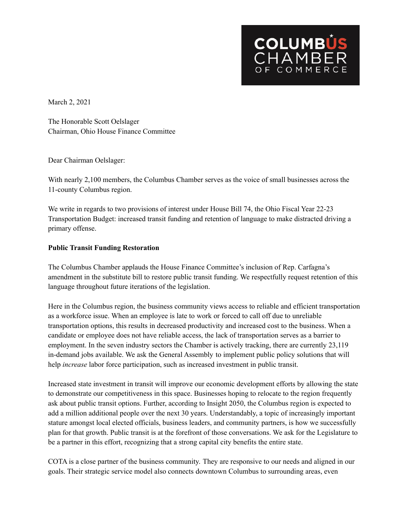

March 2, 2021

The Honorable Scott Oelslager Chairman, Ohio House Finance Committee

Dear Chairman Oelslager:

With nearly 2,100 members, the Columbus Chamber serves as the voice of small businesses across the 11-county Columbus region.

We write in regards to two provisions of interest under House Bill 74, the Ohio Fiscal Year 22-23 Transportation Budget: increased transit funding and retention of language to make distracted driving a primary offense.

## **Public Transit Funding Restoration**

The Columbus Chamber applauds the House Finance Committee's inclusion of Rep. Carfagna's amendment in the substitute bill to restore public transit funding. We respectfully request retention of this language throughout future iterations of the legislation.

Here in the Columbus region, the business community views access to reliable and efficient transportation as a workforce issue. When an employee is late to work or forced to call off due to unreliable transportation options, this results in decreased productivity and increased cost to the business. When a candidate or employee does not have reliable access, the lack of transportation serves as a barrier to employment. In the seven industry sectors the Chamber is actively tracking, there are currently 23,119 in-demand jobs available. We ask the General Assembly to implement public policy solutions that will help *increase* labor force participation, such as increased investment in public transit.

Increased state investment in transit will improve our economic development efforts by allowing the state to demonstrate our competitiveness in this space. Businesses hoping to relocate to the region frequently ask about public transit options. Further, according to Insight 2050, the Columbus region is expected to add a million additional people over the next 30 years. Understandably, a topic of increasingly important stature amongst local elected officials, business leaders, and community partners, is how we successfully plan for that growth. Public transit is at the forefront of those conversations. We ask for the Legislature to be a partner in this effort, recognizing that a strong capital city benefits the entire state.

COTA is a close partner of the business community. They are responsive to our needs and aligned in our goals. Their strategic service model also connects downtown Columbus to surrounding areas, even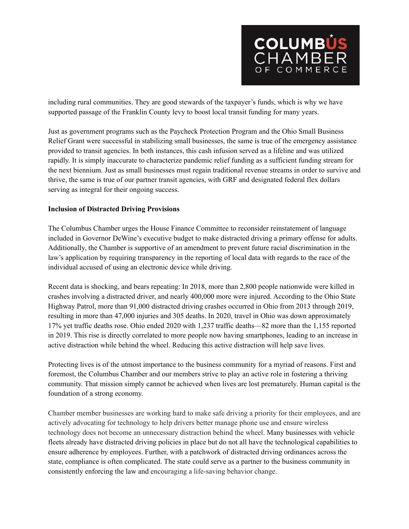

including rural communities. They are good stewards of the taxpayer's funds, which is why we have supported passage of the Franklin County levy to boost local transit funding for many years.

Just as government programs such as the Paycheck Protection Program and the Ohio Small Business Relief Grant were successful in stabilizing small businesses, the same is true of the emergency assistance provided to transit agencies. In both instances, this cash infusion served as a lifeline and was utilized rapidly. It is simply inaccurate to characterize pandemic relief funding as a sufficient funding stream for the next biennium. Just as small businesses must regain traditional revenue streams in order to survive and thrive, the same is true of our partner transit agencies, with GRF and designated federal flex dollars serving as integral for their ongoing success.

## **Inclusion of Distracted Driving Provisions**

The Columbus Chamber urges the House Finance Committee to reconsider reinstatement of language included in Governor DeWine's executive budget to make distracted driving a primary offense for adults. Additionally, the Chamber is supportive of an amendment to prevent future racial discrimination in the law's application by requiring transparency in the reporting of local data with regards to the race of the individual accused of using an electronic device while driving.

Recent data is shocking, and bears repeating: In 2018, more than 2,800 people nationwide were killed in crashes involving a distracted driver, and nearly 400,000 more were injured. According to the Ohio State Highway Patrol, more than 91,000 distracted driving crashes occurred in Ohio from 2013 through 2019, resulting in more than 47,000 injuries and 305 deaths. In 2020, travel in Ohio was down approximately 17% yet traffic deaths rose. Ohio ended 2020 with 1,237 traffic deaths—82 more than the 1,155 reported in 2019. This rise is directly correlated to more people now having smartphones, leading to an increase in active distraction while behind the wheel. Reducing this active distraction will help save lives.

Protecting lives is of the utmost importance to the business community for a myriad of reasons. First and foremost, the Columbus Chamber and our members strive to play an active role in fostering a thriving community. That mission simply cannot be achieved when lives are lost prematurely. Human capital is the foundation of a strong economy.

Chamber member businesses are working hard to make safe driving a priority for their employees, and are actively advocating for technology to help drivers better manage phone use and ensure wireless technology does not become an unnecessary distraction behind the wheel. Many businesses with vehicle fleets already have distracted driving policies in place but do not all have the technological capabilities to ensure adherence by employees. Further, with a patchwork of distracted driving ordinances across the state, compliance is often complicated. The state could serve as a partner to the business community in consistently enforcing the law and encouraging a life-saving behavior change.